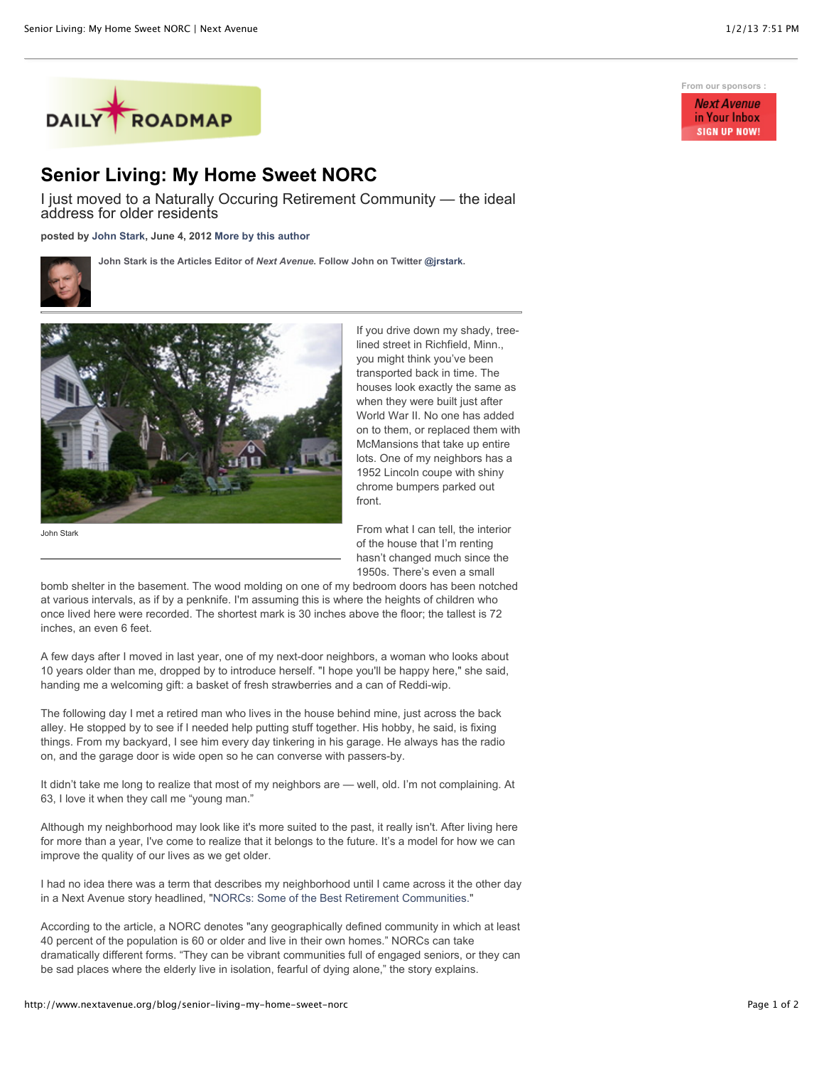

## **Senior Living: My Home Sweet NORC**

I just moved to a Naturally Occuring Retirement Community — the ideal address for older residents

**posted by [John Stark,](http://www.nextavenue.org/staff/john-stark) June 4, 2012 [More by this author](http://www.nextavenue.org/staff/john-stark)**

**John Stark is the Articles Editor of** *Next Avenue***. Follow John on Twitter [@jrstark.](http://twitter.com/jrstark)**



John Stark

If you drive down my shady, treelined street in Richfield, Minn., you might think you've been transported back in time. The houses look exactly the same as when they were built just after World War II. No one has added on to them, or replaced them with McMansions that take up entire lots. One of my neighbors has a 1952 Lincoln coupe with shiny chrome bumpers parked out front.

From what I can tell, the interior of the house that I'm renting hasn't changed much since the 1950s. There's even a small

bomb shelter in the basement. The wood molding on one of my bedroom doors has been notched at various intervals, as if by a penknife. I'm assuming this is where the heights of children who once lived here were recorded. The shortest mark is 30 inches above the floor; the tallest is 72 inches, an even 6 feet.

A few days after I moved in last year, one of my next-door neighbors, a woman who looks about 10 years older than me, dropped by to introduce herself. "I hope you'll be happy here," she said, handing me a welcoming gift: a basket of fresh strawberries and a can of Reddi-wip.

The following day I met a retired man who lives in the house behind mine, just across the back alley. He stopped by to see if I needed help putting stuff together. His hobby, he said, is fixing things. From my backyard, I see him every day tinkering in his garage. He always has the radio on, and the garage door is wide open so he can converse with passers-by.

It didn't take me long to realize that most of my neighbors are — well, old. I'm not complaining. At 63, I love it when they call me "young man."

Although my neighborhood may look like it's more suited to the past, it really isn't. After living here for more than a year, I've come to realize that it belongs to the future. It's a model for how we can improve the quality of our lives as we get older.

I had no idea there was a term that describes my neighborhood until I came across it the other day in a Next Avenue story headlined, ["NORCs: Some of the Best Retirement Communities.](http://www.nextavenue.org/article/2012-05/norcs-some-best-retirement-communities-occur-naturally)"

According to the article, a NORC denotes "any geographically defined community in which at least 40 percent of the population is 60 or older and live in their own homes." NORCs can take dramatically different forms. "They can be vibrant communities full of engaged seniors, or they can be sad places where the elderly live in isolation, fearful of dying alone," the story explains.